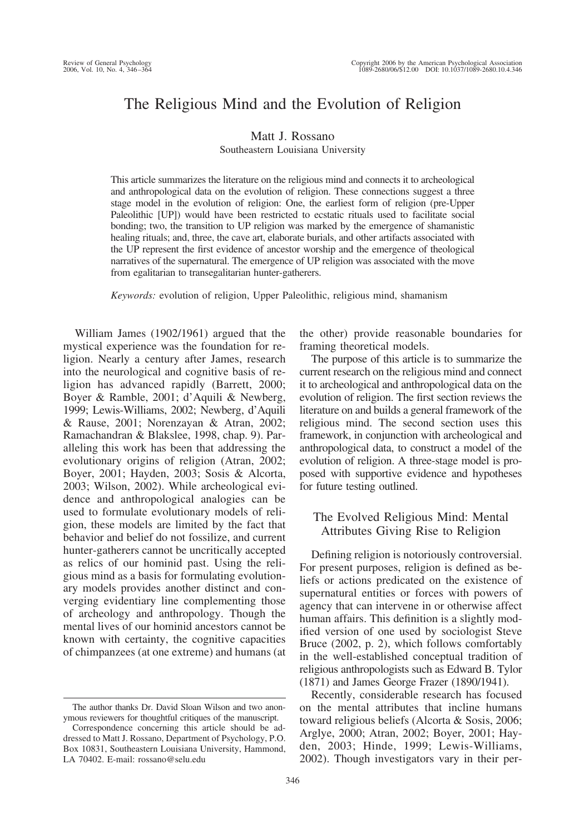# The Religious Mind and the Evolution of Religion

## Matt J. Rossano

Southeastern Louisiana University

This article summarizes the literature on the religious mind and connects it to archeological and anthropological data on the evolution of religion. These connections suggest a three stage model in the evolution of religion: One, the earliest form of religion (pre-Upper Paleolithic [UP]) would have been restricted to ecstatic rituals used to facilitate social bonding; two, the transition to UP religion was marked by the emergence of shamanistic healing rituals; and, three, the cave art, elaborate burials, and other artifacts associated with the UP represent the first evidence of ancestor worship and the emergence of theological narratives of the supernatural. The emergence of UP religion was associated with the move from egalitarian to transegalitarian hunter-gatherers.

*Keywords:* evolution of religion, Upper Paleolithic, religious mind, shamanism

William James (1902/1961) argued that the mystical experience was the foundation for religion. Nearly a century after James, research into the neurological and cognitive basis of religion has advanced rapidly (Barrett, 2000; Boyer & Ramble, 2001; d'Aquili & Newberg, 1999; Lewis-Williams, 2002; Newberg, d'Aquili & Rause, 2001; Norenzayan & Atran, 2002; Ramachandran & Blakslee, 1998, chap. 9). Paralleling this work has been that addressing the evolutionary origins of religion (Atran, 2002; Boyer, 2001; Hayden, 2003; Sosis & Alcorta, 2003; Wilson, 2002). While archeological evidence and anthropological analogies can be used to formulate evolutionary models of religion, these models are limited by the fact that behavior and belief do not fossilize, and current hunter-gatherers cannot be uncritically accepted as relics of our hominid past. Using the religious mind as a basis for formulating evolutionary models provides another distinct and converging evidentiary line complementing those of archeology and anthropology. Though the mental lives of our hominid ancestors cannot be known with certainty, the cognitive capacities of chimpanzees (at one extreme) and humans (at the other) provide reasonable boundaries for framing theoretical models.

The purpose of this article is to summarize the current research on the religious mind and connect it to archeological and anthropological data on the evolution of religion. The first section reviews the literature on and builds a general framework of the religious mind. The second section uses this framework, in conjunction with archeological and anthropological data, to construct a model of the evolution of religion. A three-stage model is proposed with supportive evidence and hypotheses for future testing outlined.

# The Evolved Religious Mind: Mental Attributes Giving Rise to Religion

Defining religion is notoriously controversial. For present purposes, religion is defined as beliefs or actions predicated on the existence of supernatural entities or forces with powers of agency that can intervene in or otherwise affect human affairs. This definition is a slightly modified version of one used by sociologist Steve Bruce (2002, p. 2), which follows comfortably in the well-established conceptual tradition of religious anthropologists such as Edward B. Tylor (1871) and James George Frazer (1890/1941).

Recently, considerable research has focused on the mental attributes that incline humans toward religious beliefs (Alcorta & Sosis, 2006; Arglye, 2000; Atran, 2002; Boyer, 2001; Hayden, 2003; Hinde, 1999; Lewis-Williams, 2002). Though investigators vary in their per-

The author thanks Dr. David Sloan Wilson and two anonymous reviewers for thoughtful critiques of the manuscript.

Correspondence concerning this article should be addressed to Matt J. Rossano, Department of Psychology, P.O. Box 10831, Southeastern Louisiana University, Hammond, LA 70402. E-mail: rossano@selu.edu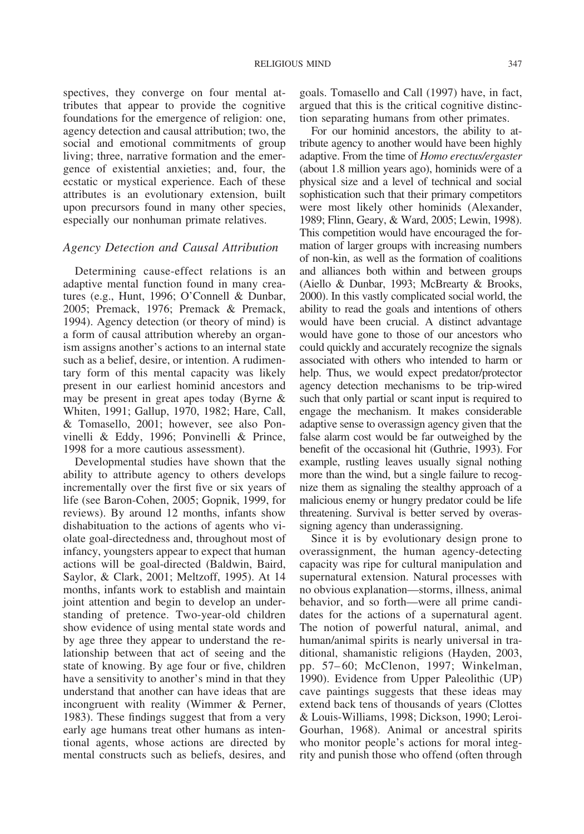spectives, they converge on four mental attributes that appear to provide the cognitive foundations for the emergence of religion: one, agency detection and causal attribution; two, the social and emotional commitments of group living; three, narrative formation and the emergence of existential anxieties; and, four, the ecstatic or mystical experience. Each of these attributes is an evolutionary extension, built upon precursors found in many other species, especially our nonhuman primate relatives.

#### *Agency Detection and Causal Attribution*

Determining cause-effect relations is an adaptive mental function found in many creatures (e.g., Hunt, 1996; O'Connell & Dunbar, 2005; Premack, 1976; Premack & Premack, 1994). Agency detection (or theory of mind) is a form of causal attribution whereby an organism assigns another's actions to an internal state such as a belief, desire, or intention. A rudimentary form of this mental capacity was likely present in our earliest hominid ancestors and may be present in great apes today (Byrne & Whiten, 1991; Gallup, 1970, 1982; Hare, Call, & Tomasello, 2001; however, see also Ponvinelli & Eddy, 1996; Ponvinelli & Prince, 1998 for a more cautious assessment).

Developmental studies have shown that the ability to attribute agency to others develops incrementally over the first five or six years of life (see Baron-Cohen, 2005; Gopnik, 1999, for reviews). By around 12 months, infants show dishabituation to the actions of agents who violate goal-directedness and, throughout most of infancy, youngsters appear to expect that human actions will be goal-directed (Baldwin, Baird, Saylor, & Clark, 2001; Meltzoff, 1995). At 14 months, infants work to establish and maintain joint attention and begin to develop an understanding of pretence. Two-year-old children show evidence of using mental state words and by age three they appear to understand the relationship between that act of seeing and the state of knowing. By age four or five, children have a sensitivity to another's mind in that they understand that another can have ideas that are incongruent with reality (Wimmer & Perner, 1983). These findings suggest that from a very early age humans treat other humans as intentional agents, whose actions are directed by mental constructs such as beliefs, desires, and

goals. Tomasello and Call (1997) have, in fact, argued that this is the critical cognitive distinction separating humans from other primates.

For our hominid ancestors, the ability to attribute agency to another would have been highly adaptive. From the time of *Homo erectus/ergaster* (about 1.8 million years ago), hominids were of a physical size and a level of technical and social sophistication such that their primary competitors were most likely other hominids (Alexander, 1989; Flinn, Geary, & Ward, 2005; Lewin, 1998). This competition would have encouraged the formation of larger groups with increasing numbers of non-kin, as well as the formation of coalitions and alliances both within and between groups (Aiello & Dunbar, 1993; McBrearty & Brooks, 2000). In this vastly complicated social world, the ability to read the goals and intentions of others would have been crucial. A distinct advantage would have gone to those of our ancestors who could quickly and accurately recognize the signals associated with others who intended to harm or help. Thus, we would expect predator/protector agency detection mechanisms to be trip-wired such that only partial or scant input is required to engage the mechanism. It makes considerable adaptive sense to overassign agency given that the false alarm cost would be far outweighed by the benefit of the occasional hit (Guthrie, 1993). For example, rustling leaves usually signal nothing more than the wind, but a single failure to recognize them as signaling the stealthy approach of a malicious enemy or hungry predator could be life threatening. Survival is better served by overassigning agency than underassigning.

Since it is by evolutionary design prone to overassignment, the human agency-detecting capacity was ripe for cultural manipulation and supernatural extension. Natural processes with no obvious explanation—storms, illness, animal behavior, and so forth—were all prime candidates for the actions of a supernatural agent. The notion of powerful natural, animal, and human/animal spirits is nearly universal in traditional, shamanistic religions (Hayden, 2003, pp. 57– 60; McClenon, 1997; Winkelman, 1990). Evidence from Upper Paleolithic (UP) cave paintings suggests that these ideas may extend back tens of thousands of years (Clottes & Louis-Williams, 1998; Dickson, 1990; Leroi-Gourhan, 1968). Animal or ancestral spirits who monitor people's actions for moral integrity and punish those who offend (often through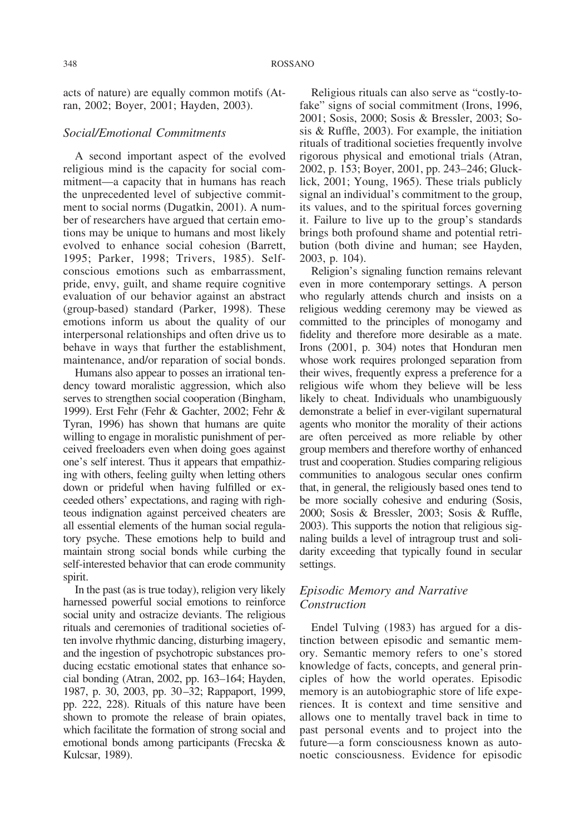acts of nature) are equally common motifs (Atran, 2002; Boyer, 2001; Hayden, 2003).

#### *Social/Emotional Commitments*

A second important aspect of the evolved religious mind is the capacity for social commitment—a capacity that in humans has reach the unprecedented level of subjective commitment to social norms (Dugatkin, 2001). A number of researchers have argued that certain emotions may be unique to humans and most likely evolved to enhance social cohesion (Barrett, 1995; Parker, 1998; Trivers, 1985). Selfconscious emotions such as embarrassment, pride, envy, guilt, and shame require cognitive evaluation of our behavior against an abstract (group-based) standard (Parker, 1998). These emotions inform us about the quality of our interpersonal relationships and often drive us to behave in ways that further the establishment, maintenance, and/or reparation of social bonds.

Humans also appear to posses an irrational tendency toward moralistic aggression, which also serves to strengthen social cooperation (Bingham, 1999). Erst Fehr (Fehr & Gachter, 2002; Fehr & Tyran, 1996) has shown that humans are quite willing to engage in moralistic punishment of perceived freeloaders even when doing goes against one's self interest. Thus it appears that empathizing with others, feeling guilty when letting others down or prideful when having fulfilled or exceeded others' expectations, and raging with righteous indignation against perceived cheaters are all essential elements of the human social regulatory psyche. These emotions help to build and maintain strong social bonds while curbing the self-interested behavior that can erode community spirit.

In the past (as is true today), religion very likely harnessed powerful social emotions to reinforce social unity and ostracize deviants. The religious rituals and ceremonies of traditional societies often involve rhythmic dancing, disturbing imagery, and the ingestion of psychotropic substances producing ecstatic emotional states that enhance social bonding (Atran, 2002, pp. 163–164; Hayden, 1987, p. 30, 2003, pp. 30 –32; Rappaport, 1999, pp. 222, 228). Rituals of this nature have been shown to promote the release of brain opiates, which facilitate the formation of strong social and emotional bonds among participants (Frecska & Kulcsar, 1989).

Religious rituals can also serve as "costly-tofake" signs of social commitment (Irons, 1996, 2001; Sosis, 2000; Sosis & Bressler, 2003; Sosis & Ruffle, 2003). For example, the initiation rituals of traditional societies frequently involve rigorous physical and emotional trials (Atran, 2002, p. 153; Boyer, 2001, pp. 243–246; Glucklick, 2001; Young, 1965). These trials publicly signal an individual's commitment to the group, its values, and to the spiritual forces governing it. Failure to live up to the group's standards brings both profound shame and potential retribution (both divine and human; see Hayden, 2003, p. 104).

Religion's signaling function remains relevant even in more contemporary settings. A person who regularly attends church and insists on a religious wedding ceremony may be viewed as committed to the principles of monogamy and fidelity and therefore more desirable as a mate. Irons (2001, p. 304) notes that Honduran men whose work requires prolonged separation from their wives, frequently express a preference for a religious wife whom they believe will be less likely to cheat. Individuals who unambiguously demonstrate a belief in ever-vigilant supernatural agents who monitor the morality of their actions are often perceived as more reliable by other group members and therefore worthy of enhanced trust and cooperation. Studies comparing religious communities to analogous secular ones confirm that, in general, the religiously based ones tend to be more socially cohesive and enduring (Sosis, 2000; Sosis & Bressler, 2003; Sosis & Ruffle, 2003). This supports the notion that religious signaling builds a level of intragroup trust and solidarity exceeding that typically found in secular settings.

# *Episodic Memory and Narrative Construction*

Endel Tulving (1983) has argued for a distinction between episodic and semantic memory. Semantic memory refers to one's stored knowledge of facts, concepts, and general principles of how the world operates. Episodic memory is an autobiographic store of life experiences. It is context and time sensitive and allows one to mentally travel back in time to past personal events and to project into the future—a form consciousness known as autonoetic consciousness. Evidence for episodic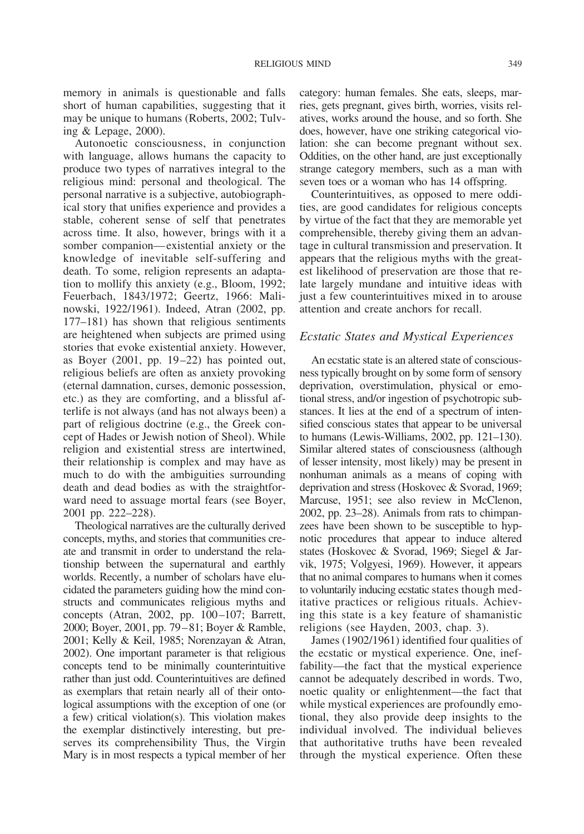memory in animals is questionable and falls short of human capabilities, suggesting that it may be unique to humans (Roberts, 2002; Tulving & Lepage, 2000).

Autonoetic consciousness, in conjunction with language, allows humans the capacity to produce two types of narratives integral to the religious mind: personal and theological. The personal narrative is a subjective, autobiographical story that unifies experience and provides a stable, coherent sense of self that penetrates across time. It also, however, brings with it a somber companion— existential anxiety or the knowledge of inevitable self-suffering and death. To some, religion represents an adaptation to mollify this anxiety (e.g., Bloom, 1992; Feuerbach, 1843/1972; Geertz, 1966: Malinowski, 1922/1961). Indeed, Atran (2002, pp. 177–181) has shown that religious sentiments are heightened when subjects are primed using stories that evoke existential anxiety. However, as Boyer  $(2001, pp. 19-22)$  has pointed out, religious beliefs are often as anxiety provoking (eternal damnation, curses, demonic possession, etc.) as they are comforting, and a blissful afterlife is not always (and has not always been) a part of religious doctrine (e.g., the Greek concept of Hades or Jewish notion of Sheol). While religion and existential stress are intertwined, their relationship is complex and may have as much to do with the ambiguities surrounding death and dead bodies as with the straightforward need to assuage mortal fears (see Boyer, 2001 pp. 222–228).

Theological narratives are the culturally derived concepts, myths, and stories that communities create and transmit in order to understand the relationship between the supernatural and earthly worlds. Recently, a number of scholars have elucidated the parameters guiding how the mind constructs and communicates religious myths and concepts (Atran, 2002, pp. 100 –107; Barrett, 2000; Boyer, 2001, pp. 79 – 81; Boyer & Ramble, 2001; Kelly & Keil, 1985; Norenzayan & Atran, 2002). One important parameter is that religious concepts tend to be minimally counterintuitive rather than just odd. Counterintuitives are defined as exemplars that retain nearly all of their ontological assumptions with the exception of one (or a few) critical violation(s). This violation makes the exemplar distinctively interesting, but preserves its comprehensibility Thus, the Virgin Mary is in most respects a typical member of her

category: human females. She eats, sleeps, marries, gets pregnant, gives birth, worries, visits relatives, works around the house, and so forth. She does, however, have one striking categorical violation: she can become pregnant without sex. Oddities, on the other hand, are just exceptionally strange category members, such as a man with seven toes or a woman who has 14 offspring.

Counterintuitives, as opposed to mere oddities, are good candidates for religious concepts by virtue of the fact that they are memorable yet comprehensible, thereby giving them an advantage in cultural transmission and preservation. It appears that the religious myths with the greatest likelihood of preservation are those that relate largely mundane and intuitive ideas with just a few counterintuitives mixed in to arouse attention and create anchors for recall.

#### *Ecstatic States and Mystical Experiences*

An ecstatic state is an altered state of consciousness typically brought on by some form of sensory deprivation, overstimulation, physical or emotional stress, and/or ingestion of psychotropic substances. It lies at the end of a spectrum of intensified conscious states that appear to be universal to humans (Lewis-Williams, 2002, pp. 121–130). Similar altered states of consciousness (although of lesser intensity, most likely) may be present in nonhuman animals as a means of coping with deprivation and stress (Hoskovec & Svorad, 1969; Marcuse, 1951; see also review in McClenon, 2002, pp. 23–28). Animals from rats to chimpanzees have been shown to be susceptible to hypnotic procedures that appear to induce altered states (Hoskovec & Svorad, 1969; Siegel & Jarvik, 1975; Volgyesi, 1969). However, it appears that no animal compares to humans when it comes to voluntarily inducing ecstatic states though meditative practices or religious rituals. Achieving this state is a key feature of shamanistic religions (see Hayden, 2003, chap. 3).

James (1902/1961) identified four qualities of the ecstatic or mystical experience. One, ineffability—the fact that the mystical experience cannot be adequately described in words. Two, noetic quality or enlightenment—the fact that while mystical experiences are profoundly emotional, they also provide deep insights to the individual involved. The individual believes that authoritative truths have been revealed through the mystical experience. Often these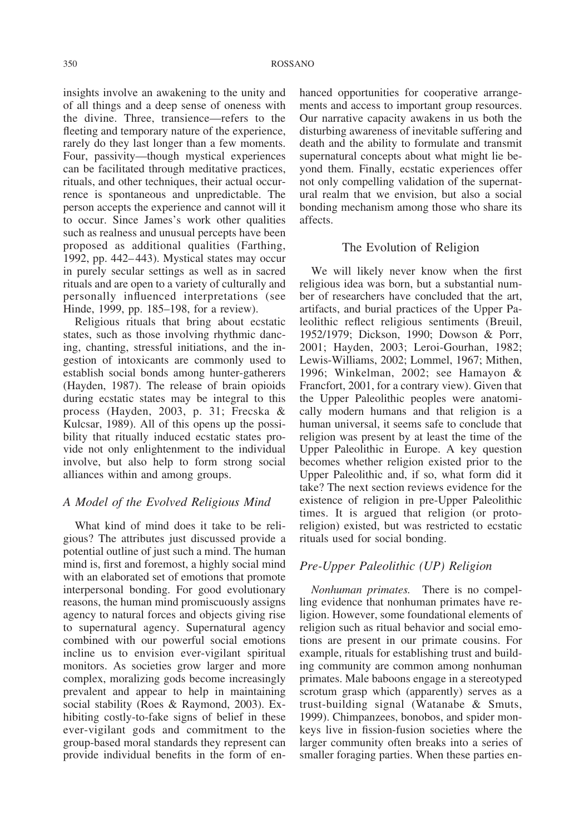insights involve an awakening to the unity and of all things and a deep sense of oneness with the divine. Three, transience—refers to the fleeting and temporary nature of the experience, rarely do they last longer than a few moments. Four, passivity—though mystical experiences can be facilitated through meditative practices, rituals, and other techniques, their actual occurrence is spontaneous and unpredictable. The person accepts the experience and cannot will it to occur. Since James's work other qualities such as realness and unusual percepts have been proposed as additional qualities (Farthing, 1992, pp. 442– 443). Mystical states may occur in purely secular settings as well as in sacred rituals and are open to a variety of culturally and personally influenced interpretations (see Hinde, 1999, pp. 185–198, for a review).

Religious rituals that bring about ecstatic states, such as those involving rhythmic dancing, chanting, stressful initiations, and the ingestion of intoxicants are commonly used to establish social bonds among hunter-gatherers (Hayden, 1987). The release of brain opioids during ecstatic states may be integral to this process (Hayden, 2003, p. 31; Frecska & Kulcsar, 1989). All of this opens up the possibility that ritually induced ecstatic states provide not only enlightenment to the individual involve, but also help to form strong social alliances within and among groups.

## *A Model of the Evolved Religious Mind*

What kind of mind does it take to be religious? The attributes just discussed provide a potential outline of just such a mind. The human mind is, first and foremost, a highly social mind with an elaborated set of emotions that promote interpersonal bonding. For good evolutionary reasons, the human mind promiscuously assigns agency to natural forces and objects giving rise to supernatural agency. Supernatural agency combined with our powerful social emotions incline us to envision ever-vigilant spiritual monitors. As societies grow larger and more complex, moralizing gods become increasingly prevalent and appear to help in maintaining social stability (Roes & Raymond, 2003). Exhibiting costly-to-fake signs of belief in these ever-vigilant gods and commitment to the group-based moral standards they represent can provide individual benefits in the form of enhanced opportunities for cooperative arrangements and access to important group resources. Our narrative capacity awakens in us both the disturbing awareness of inevitable suffering and death and the ability to formulate and transmit supernatural concepts about what might lie beyond them. Finally, ecstatic experiences offer not only compelling validation of the supernatural realm that we envision, but also a social bonding mechanism among those who share its affects.

#### The Evolution of Religion

We will likely never know when the first religious idea was born, but a substantial number of researchers have concluded that the art, artifacts, and burial practices of the Upper Paleolithic reflect religious sentiments (Breuil, 1952/1979; Dickson, 1990; Dowson & Porr, 2001; Hayden, 2003; Leroi-Gourhan, 1982; Lewis-Williams, 2002; Lommel, 1967; Mithen, 1996; Winkelman, 2002; see Hamayon & Francfort, 2001, for a contrary view). Given that the Upper Paleolithic peoples were anatomically modern humans and that religion is a human universal, it seems safe to conclude that religion was present by at least the time of the Upper Paleolithic in Europe. A key question becomes whether religion existed prior to the Upper Paleolithic and, if so, what form did it take? The next section reviews evidence for the existence of religion in pre-Upper Paleolithic times. It is argued that religion (or protoreligion) existed, but was restricted to ecstatic rituals used for social bonding.

#### *Pre-Upper Paleolithic (UP) Religion*

*Nonhuman primates.* There is no compelling evidence that nonhuman primates have religion. However, some foundational elements of religion such as ritual behavior and social emotions are present in our primate cousins. For example, rituals for establishing trust and building community are common among nonhuman primates. Male baboons engage in a stereotyped scrotum grasp which (apparently) serves as a trust-building signal (Watanabe & Smuts, 1999). Chimpanzees, bonobos, and spider monkeys live in fission-fusion societies where the larger community often breaks into a series of smaller foraging parties. When these parties en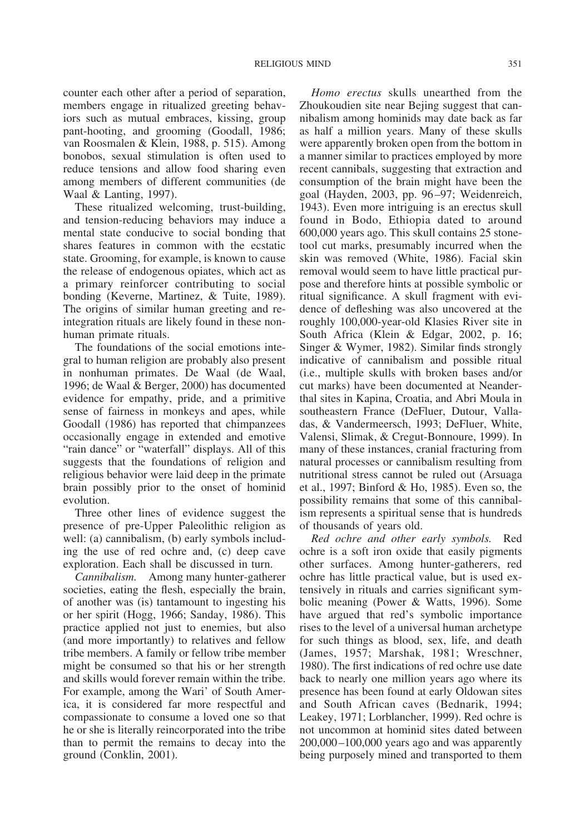counter each other after a period of separation, members engage in ritualized greeting behaviors such as mutual embraces, kissing, group pant-hooting, and grooming (Goodall, 1986; van Roosmalen & Klein, 1988, p. 515). Among bonobos, sexual stimulation is often used to reduce tensions and allow food sharing even among members of different communities (de Waal & Lanting, 1997).

These ritualized welcoming, trust-building, and tension-reducing behaviors may induce a mental state conducive to social bonding that shares features in common with the ecstatic state. Grooming, for example, is known to cause the release of endogenous opiates, which act as a primary reinforcer contributing to social bonding (Keverne, Martinez, & Tuite, 1989). The origins of similar human greeting and reintegration rituals are likely found in these nonhuman primate rituals.

The foundations of the social emotions integral to human religion are probably also present in nonhuman primates. De Waal (de Waal, 1996; de Waal & Berger, 2000) has documented evidence for empathy, pride, and a primitive sense of fairness in monkeys and apes, while Goodall (1986) has reported that chimpanzees occasionally engage in extended and emotive "rain dance" or "waterfall" displays. All of this suggests that the foundations of religion and religious behavior were laid deep in the primate brain possibly prior to the onset of hominid evolution.

Three other lines of evidence suggest the presence of pre-Upper Paleolithic religion as well: (a) cannibalism, (b) early symbols including the use of red ochre and, (c) deep cave exploration. Each shall be discussed in turn.

*Cannibalism.* Among many hunter-gatherer societies, eating the flesh, especially the brain, of another was (is) tantamount to ingesting his or her spirit (Hogg, 1966; Sanday, 1986). This practice applied not just to enemies, but also (and more importantly) to relatives and fellow tribe members. A family or fellow tribe member might be consumed so that his or her strength and skills would forever remain within the tribe. For example, among the Wari' of South America, it is considered far more respectful and compassionate to consume a loved one so that he or she is literally reincorporated into the tribe than to permit the remains to decay into the ground (Conklin, 2001).

*Homo erectus* skulls unearthed from the Zhoukoudien site near Bejing suggest that cannibalism among hominids may date back as far as half a million years. Many of these skulls were apparently broken open from the bottom in a manner similar to practices employed by more recent cannibals, suggesting that extraction and consumption of the brain might have been the goal (Hayden, 2003, pp. 96 –97; Weidenreich, 1943). Even more intriguing is an erectus skull found in Bodo, Ethiopia dated to around 600,000 years ago. This skull contains 25 stonetool cut marks, presumably incurred when the skin was removed (White, 1986). Facial skin removal would seem to have little practical purpose and therefore hints at possible symbolic or ritual significance. A skull fragment with evidence of defleshing was also uncovered at the roughly 100,000-year-old Klasies River site in South Africa (Klein & Edgar, 2002, p. 16; Singer & Wymer, 1982). Similar finds strongly indicative of cannibalism and possible ritual (i.e., multiple skulls with broken bases and/or cut marks) have been documented at Neanderthal sites in Kapina, Croatia, and Abri Moula in southeastern France (DeFluer, Dutour, Valladas, & Vandermeersch, 1993; DeFluer, White, Valensi, Slimak, & Cregut-Bonnoure, 1999). In many of these instances, cranial fracturing from natural processes or cannibalism resulting from nutritional stress cannot be ruled out (Arsuaga et al., 1997; Binford & Ho, 1985). Even so, the possibility remains that some of this cannibalism represents a spiritual sense that is hundreds of thousands of years old.

*Red ochre and other early symbols.* Red ochre is a soft iron oxide that easily pigments other surfaces. Among hunter-gatherers, red ochre has little practical value, but is used extensively in rituals and carries significant symbolic meaning (Power & Watts, 1996). Some have argued that red's symbolic importance rises to the level of a universal human archetype for such things as blood, sex, life, and death (James, 1957; Marshak, 1981; Wreschner, 1980). The first indications of red ochre use date back to nearly one million years ago where its presence has been found at early Oldowan sites and South African caves (Bednarik, 1994; Leakey, 1971; Lorblancher, 1999). Red ochre is not uncommon at hominid sites dated between 200,000 –100,000 years ago and was apparently being purposely mined and transported to them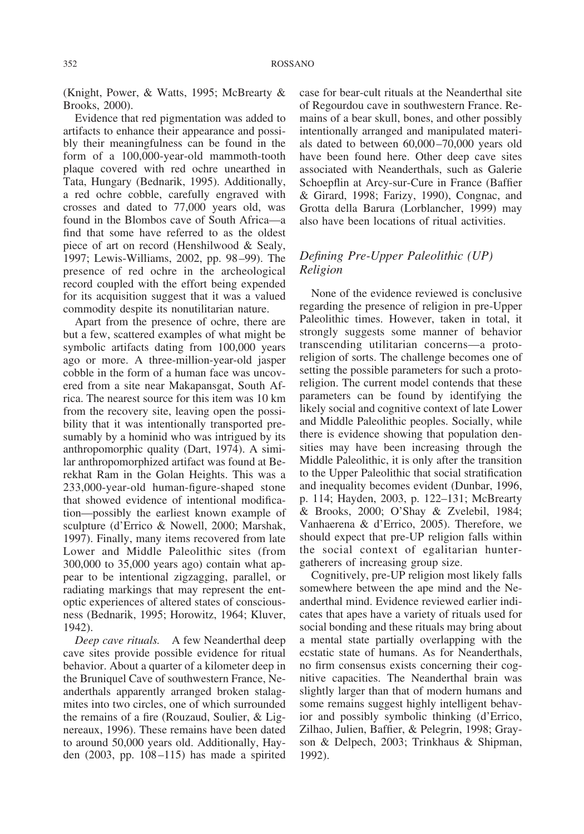(Knight, Power, & Watts, 1995; McBrearty & Brooks, 2000).

Evidence that red pigmentation was added to artifacts to enhance their appearance and possibly their meaningfulness can be found in the form of a 100,000-year-old mammoth-tooth plaque covered with red ochre unearthed in Tata, Hungary (Bednarik, 1995). Additionally, a red ochre cobble, carefully engraved with crosses and dated to 77,000 years old, was found in the Blombos cave of South Africa—a find that some have referred to as the oldest piece of art on record (Henshilwood & Sealy, 1997; Lewis-Williams, 2002, pp. 98 –99). The presence of red ochre in the archeological record coupled with the effort being expended for its acquisition suggest that it was a valued commodity despite its nonutilitarian nature.

Apart from the presence of ochre, there are but a few, scattered examples of what might be symbolic artifacts dating from 100,000 years ago or more. A three-million-year-old jasper cobble in the form of a human face was uncovered from a site near Makapansgat, South Africa. The nearest source for this item was 10 km from the recovery site, leaving open the possibility that it was intentionally transported presumably by a hominid who was intrigued by its anthropomorphic quality (Dart, 1974). A similar anthropomorphized artifact was found at Berekhat Ram in the Golan Heights. This was a 233,000-year-old human-figure-shaped stone that showed evidence of intentional modification—possibly the earliest known example of sculpture (d'Errico & Nowell, 2000; Marshak, 1997). Finally, many items recovered from late Lower and Middle Paleolithic sites (from 300,000 to 35,000 years ago) contain what appear to be intentional zigzagging, parallel, or radiating markings that may represent the entoptic experiences of altered states of consciousness (Bednarik, 1995; Horowitz, 1964; Kluver, 1942).

*Deep cave rituals.* A few Neanderthal deep cave sites provide possible evidence for ritual behavior. About a quarter of a kilometer deep in the Bruniquel Cave of southwestern France, Neanderthals apparently arranged broken stalagmites into two circles, one of which surrounded the remains of a fire (Rouzaud, Soulier, & Lignereaux, 1996). These remains have been dated to around 50,000 years old. Additionally, Hayden (2003, pp. 108 –115) has made a spirited

case for bear-cult rituals at the Neanderthal site of Regourdou cave in southwestern France. Remains of a bear skull, bones, and other possibly intentionally arranged and manipulated materials dated to between 60,000 –70,000 years old have been found here. Other deep cave sites associated with Neanderthals, such as Galerie Schoepflin at Arcy-sur-Cure in France (Baffier & Girard, 1998; Farizy, 1990), Congnac, and Grotta della Barura (Lorblancher, 1999) may also have been locations of ritual activities.

# *Defining Pre-Upper Paleolithic (UP) Religion*

None of the evidence reviewed is conclusive regarding the presence of religion in pre-Upper Paleolithic times. However, taken in total, it strongly suggests some manner of behavior transcending utilitarian concerns—a protoreligion of sorts. The challenge becomes one of setting the possible parameters for such a protoreligion. The current model contends that these parameters can be found by identifying the likely social and cognitive context of late Lower and Middle Paleolithic peoples. Socially, while there is evidence showing that population densities may have been increasing through the Middle Paleolithic, it is only after the transition to the Upper Paleolithic that social stratification and inequality becomes evident (Dunbar, 1996, p. 114; Hayden, 2003, p. 122–131; McBrearty & Brooks, 2000; O'Shay & Zvelebil, 1984; Vanhaerena & d'Errico, 2005). Therefore, we should expect that pre-UP religion falls within the social context of egalitarian huntergatherers of increasing group size.

Cognitively, pre-UP religion most likely falls somewhere between the ape mind and the Neanderthal mind. Evidence reviewed earlier indicates that apes have a variety of rituals used for social bonding and these rituals may bring about a mental state partially overlapping with the ecstatic state of humans. As for Neanderthals, no firm consensus exists concerning their cognitive capacities. The Neanderthal brain was slightly larger than that of modern humans and some remains suggest highly intelligent behavior and possibly symbolic thinking (d'Errico, Zilhao, Julien, Baffier, & Pelegrin, 1998; Grayson & Delpech, 2003; Trinkhaus & Shipman, 1992).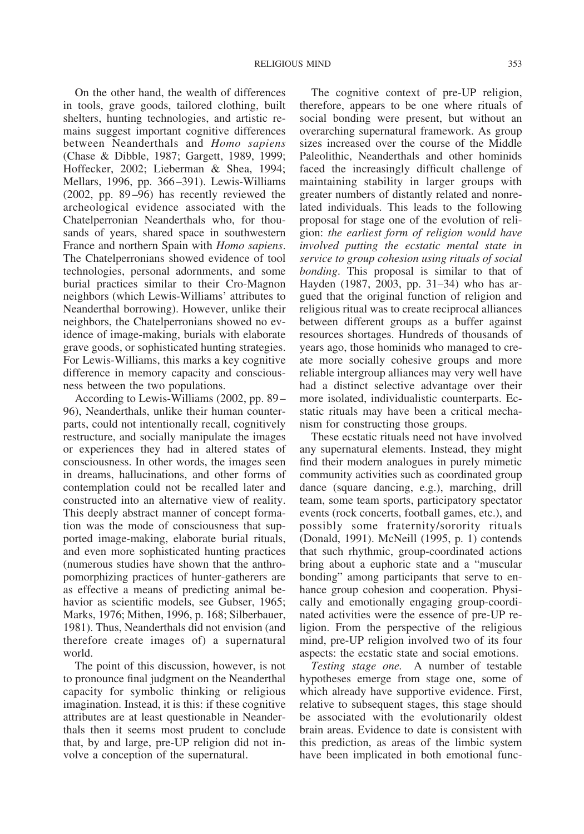On the other hand, the wealth of differences in tools, grave goods, tailored clothing, built shelters, hunting technologies, and artistic remains suggest important cognitive differences between Neanderthals and *Homo sapiens* (Chase & Dibble, 1987; Gargett, 1989, 1999; Hoffecker, 2002; Lieberman & Shea, 1994; Mellars, 1996, pp. 366 –391). Lewis-Williams (2002, pp. 89 –96) has recently reviewed the archeological evidence associated with the Chatelperronian Neanderthals who, for thousands of years, shared space in southwestern France and northern Spain with *Homo sapiens*. The Chatelperronians showed evidence of tool technologies, personal adornments, and some burial practices similar to their Cro-Magnon neighbors (which Lewis-Williams' attributes to Neanderthal borrowing). However, unlike their neighbors, the Chatelperronians showed no evidence of image-making, burials with elaborate grave goods, or sophisticated hunting strategies. For Lewis-Williams, this marks a key cognitive difference in memory capacity and consciousness between the two populations.

According to Lewis-Williams (2002, pp. 89 – 96), Neanderthals, unlike their human counterparts, could not intentionally recall, cognitively restructure, and socially manipulate the images or experiences they had in altered states of consciousness. In other words, the images seen in dreams, hallucinations, and other forms of contemplation could not be recalled later and constructed into an alternative view of reality. This deeply abstract manner of concept formation was the mode of consciousness that supported image-making, elaborate burial rituals, and even more sophisticated hunting practices (numerous studies have shown that the anthropomorphizing practices of hunter-gatherers are as effective a means of predicting animal behavior as scientific models, see Gubser, 1965; Marks, 1976; Mithen, 1996, p. 168; Silberbauer, 1981). Thus, Neanderthals did not envision (and therefore create images of) a supernatural world.

The point of this discussion, however, is not to pronounce final judgment on the Neanderthal capacity for symbolic thinking or religious imagination. Instead, it is this: if these cognitive attributes are at least questionable in Neanderthals then it seems most prudent to conclude that, by and large, pre-UP religion did not involve a conception of the supernatural.

The cognitive context of pre-UP religion, therefore, appears to be one where rituals of social bonding were present, but without an overarching supernatural framework. As group sizes increased over the course of the Middle Paleolithic, Neanderthals and other hominids faced the increasingly difficult challenge of maintaining stability in larger groups with greater numbers of distantly related and nonrelated individuals. This leads to the following proposal for stage one of the evolution of religion: *the earliest form of religion would have involved putting the ecstatic mental state in service to group cohesion using rituals of social bonding*. This proposal is similar to that of Hayden (1987, 2003, pp. 31–34) who has argued that the original function of religion and religious ritual was to create reciprocal alliances between different groups as a buffer against resources shortages. Hundreds of thousands of years ago, those hominids who managed to create more socially cohesive groups and more reliable intergroup alliances may very well have had a distinct selective advantage over their more isolated, individualistic counterparts. Ecstatic rituals may have been a critical mechanism for constructing those groups.

These ecstatic rituals need not have involved any supernatural elements. Instead, they might find their modern analogues in purely mimetic community activities such as coordinated group dance (square dancing, e.g.), marching, drill team, some team sports, participatory spectator events (rock concerts, football games, etc.), and possibly some fraternity/sorority rituals (Donald, 1991). McNeill (1995, p. 1) contends that such rhythmic, group-coordinated actions bring about a euphoric state and a "muscular bonding" among participants that serve to enhance group cohesion and cooperation. Physically and emotionally engaging group-coordinated activities were the essence of pre-UP religion. From the perspective of the religious mind, pre-UP religion involved two of its four aspects: the ecstatic state and social emotions.

*Testing stage one.* A number of testable hypotheses emerge from stage one, some of which already have supportive evidence. First, relative to subsequent stages, this stage should be associated with the evolutionarily oldest brain areas. Evidence to date is consistent with this prediction, as areas of the limbic system have been implicated in both emotional func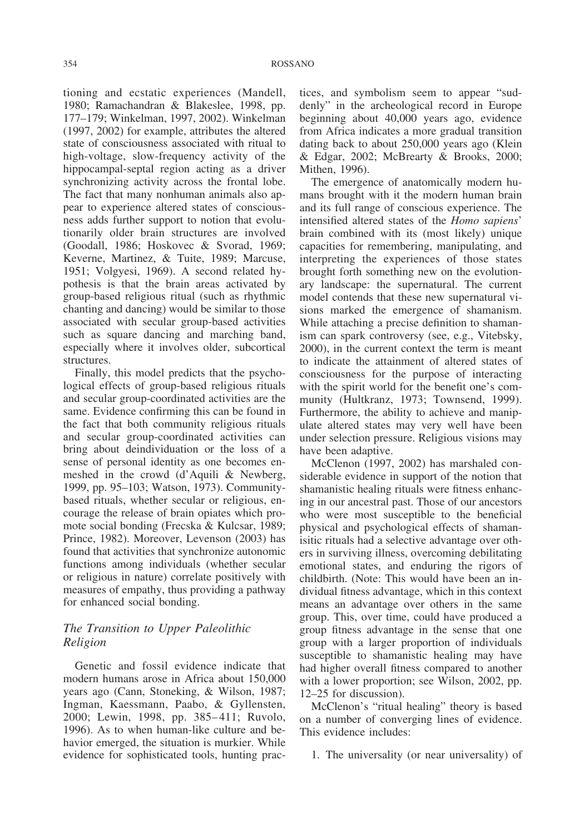tioning and ecstatic experiences (Mandell, 1980; Ramachandran & Blakeslee, 1998, pp. 177–179; Winkelman, 1997, 2002). Winkelman (1997, 2002) for example, attributes the altered state of consciousness associated with ritual to high-voltage, slow-frequency activity of the hippocampal-septal region acting as a driver synchronizing activity across the frontal lobe. The fact that many nonhuman animals also appear to experience altered states of consciousness adds further support to notion that evolutionarily older brain structures are involved (Goodall, 1986; Hoskovec & Svorad, 1969; Keverne, Martinez, & Tuite, 1989; Marcuse, 1951; Volgyesi, 1969). A second related hypothesis is that the brain areas activated by group-based religious ritual (such as rhythmic chanting and dancing) would be similar to those associated with secular group-based activities such as square dancing and marching band, especially where it involves older, subcortical structures.

Finally, this model predicts that the psychological effects of group-based religious rituals and secular group-coordinated activities are the same. Evidence confirming this can be found in the fact that both community religious rituals and secular group-coordinated activities can bring about deindividuation or the loss of a sense of personal identity as one becomes enmeshed in the crowd (d'Aquili & Newberg, 1999, pp. 95–103; Watson, 1973). Communitybased rituals, whether secular or religious, encourage the release of brain opiates which promote social bonding (Frecska & Kulcsar, 1989; Prince, 1982). Moreover, Levenson (2003) has found that activities that synchronize autonomic functions among individuals (whether secular or religious in nature) correlate positively with measures of empathy, thus providing a pathway for enhanced social bonding.

# *The Transition to Upper Paleolithic Religion*

Genetic and fossil evidence indicate that modern humans arose in Africa about 150,000 years ago (Cann, Stoneking, & Wilson, 1987; Ingman, Kaessmann, Paabo, & Gyllensten, 2000; Lewin, 1998, pp. 385– 411; Ruvolo, 1996). As to when human-like culture and behavior emerged, the situation is murkier. While evidence for sophisticated tools, hunting practices, and symbolism seem to appear "suddenly" in the archeological record in Europe beginning about 40,000 years ago, evidence from Africa indicates a more gradual transition dating back to about 250,000 years ago (Klein & Edgar, 2002; McBrearty & Brooks, 2000; Mithen, 1996).

The emergence of anatomically modern humans brought with it the modern human brain and its full range of conscious experience. The intensified altered states of the *Homo sapiens*' brain combined with its (most likely) unique capacities for remembering, manipulating, and interpreting the experiences of those states brought forth something new on the evolutionary landscape: the supernatural. The current model contends that these new supernatural visions marked the emergence of shamanism. While attaching a precise definition to shamanism can spark controversy (see, e.g., Vitebsky, 2000), in the current context the term is meant to indicate the attainment of altered states of consciousness for the purpose of interacting with the spirit world for the benefit one's community (Hultkranz, 1973; Townsend, 1999). Furthermore, the ability to achieve and manipulate altered states may very well have been under selection pressure. Religious visions may have been adaptive.

McClenon (1997, 2002) has marshaled considerable evidence in support of the notion that shamanistic healing rituals were fitness enhancing in our ancestral past. Those of our ancestors who were most susceptible to the beneficial physical and psychological effects of shamanisitic rituals had a selective advantage over others in surviving illness, overcoming debilitating emotional states, and enduring the rigors of childbirth. (Note: This would have been an individual fitness advantage, which in this context means an advantage over others in the same group. This, over time, could have produced a group fitness advantage in the sense that one group with a larger proportion of individuals susceptible to shamanistic healing may have had higher overall fitness compared to another with a lower proportion; see Wilson, 2002, pp. 12–25 for discussion).

McClenon's "ritual healing" theory is based on a number of converging lines of evidence. This evidence includes:

1. The universality (or near universality) of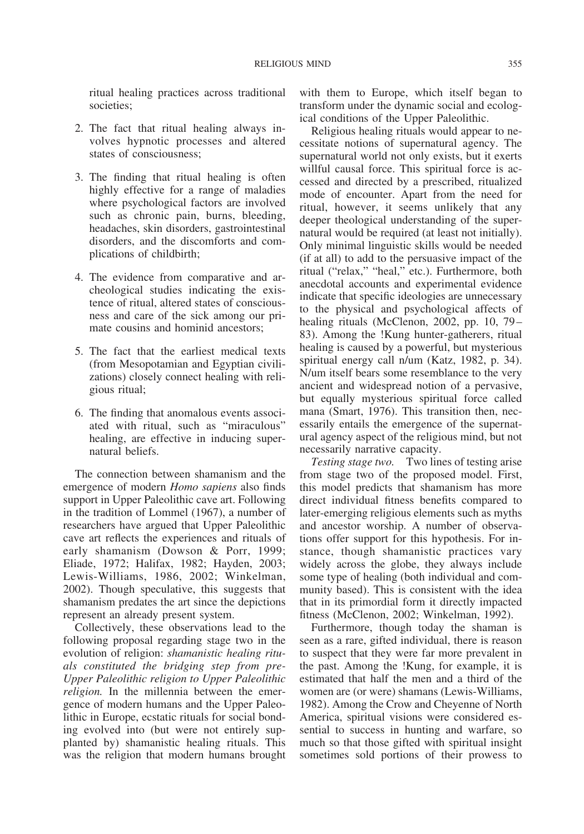ritual healing practices across traditional societies;

- 2. The fact that ritual healing always involves hypnotic processes and altered states of consciousness;
- 3. The finding that ritual healing is often highly effective for a range of maladies where psychological factors are involved such as chronic pain, burns, bleeding, headaches, skin disorders, gastrointestinal disorders, and the discomforts and complications of childbirth;
- 4. The evidence from comparative and archeological studies indicating the existence of ritual, altered states of consciousness and care of the sick among our primate cousins and hominid ancestors;
- 5. The fact that the earliest medical texts (from Mesopotamian and Egyptian civilizations) closely connect healing with religious ritual;
- 6. The finding that anomalous events associated with ritual, such as "miraculous" healing, are effective in inducing supernatural beliefs.

The connection between shamanism and the emergence of modern *Homo sapiens* also finds support in Upper Paleolithic cave art. Following in the tradition of Lommel (1967), a number of researchers have argued that Upper Paleolithic cave art reflects the experiences and rituals of early shamanism (Dowson & Porr, 1999; Eliade, 1972; Halifax, 1982; Hayden, 2003; Lewis-Williams, 1986, 2002; Winkelman, 2002). Though speculative, this suggests that shamanism predates the art since the depictions represent an already present system.

Collectively, these observations lead to the following proposal regarding stage two in the evolution of religion: *shamanistic healing rituals constituted the bridging step from pre-Upper Paleolithic religion to Upper Paleolithic religion.* In the millennia between the emergence of modern humans and the Upper Paleolithic in Europe, ecstatic rituals for social bonding evolved into (but were not entirely supplanted by) shamanistic healing rituals. This was the religion that modern humans brought with them to Europe, which itself began to transform under the dynamic social and ecological conditions of the Upper Paleolithic.

Religious healing rituals would appear to necessitate notions of supernatural agency. The supernatural world not only exists, but it exerts willful causal force. This spiritual force is accessed and directed by a prescribed, ritualized mode of encounter. Apart from the need for ritual, however, it seems unlikely that any deeper theological understanding of the supernatural would be required (at least not initially). Only minimal linguistic skills would be needed (if at all) to add to the persuasive impact of the ritual ("relax," "heal," etc.). Furthermore, both anecdotal accounts and experimental evidence indicate that specific ideologies are unnecessary to the physical and psychological affects of healing rituals (McClenon, 2002, pp. 10, 79– 83). Among the !Kung hunter-gatherers, ritual healing is caused by a powerful, but mysterious spiritual energy call n/um (Katz, 1982, p. 34). N/um itself bears some resemblance to the very ancient and widespread notion of a pervasive, but equally mysterious spiritual force called mana (Smart, 1976). This transition then, necessarily entails the emergence of the supernatural agency aspect of the religious mind, but not necessarily narrative capacity.

*Testing stage two.* Two lines of testing arise from stage two of the proposed model. First, this model predicts that shamanism has more direct individual fitness benefits compared to later-emerging religious elements such as myths and ancestor worship. A number of observations offer support for this hypothesis. For instance, though shamanistic practices vary widely across the globe, they always include some type of healing (both individual and community based). This is consistent with the idea that in its primordial form it directly impacted fitness (McClenon, 2002; Winkelman, 1992).

Furthermore, though today the shaman is seen as a rare, gifted individual, there is reason to suspect that they were far more prevalent in the past. Among the !Kung, for example, it is estimated that half the men and a third of the women are (or were) shamans (Lewis-Williams, 1982). Among the Crow and Cheyenne of North America, spiritual visions were considered essential to success in hunting and warfare, so much so that those gifted with spiritual insight sometimes sold portions of their prowess to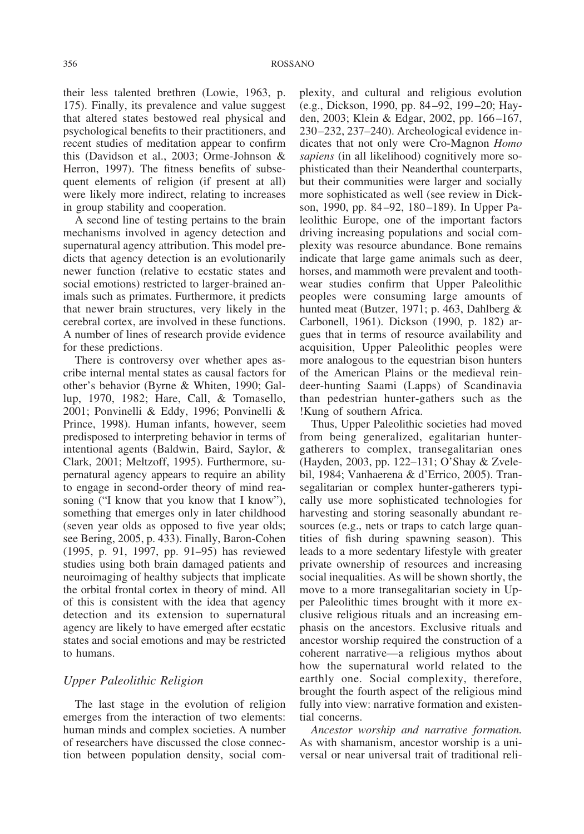their less talented brethren (Lowie, 1963, p. 175). Finally, its prevalence and value suggest that altered states bestowed real physical and psychological benefits to their practitioners, and recent studies of meditation appear to confirm this (Davidson et al., 2003; Orme-Johnson & Herron, 1997). The fitness benefits of subsequent elements of religion (if present at all) were likely more indirect, relating to increases in group stability and cooperation.

A second line of testing pertains to the brain mechanisms involved in agency detection and supernatural agency attribution. This model predicts that agency detection is an evolutionarily newer function (relative to ecstatic states and social emotions) restricted to larger-brained animals such as primates. Furthermore, it predicts that newer brain structures, very likely in the cerebral cortex, are involved in these functions. A number of lines of research provide evidence for these predictions.

There is controversy over whether apes ascribe internal mental states as causal factors for other's behavior (Byrne & Whiten, 1990; Gallup, 1970, 1982; Hare, Call, & Tomasello, 2001; Ponvinelli & Eddy, 1996; Ponvinelli & Prince, 1998). Human infants, however, seem predisposed to interpreting behavior in terms of intentional agents (Baldwin, Baird, Saylor, & Clark, 2001; Meltzoff, 1995). Furthermore, supernatural agency appears to require an ability to engage in second-order theory of mind reasoning ("I know that you know that I know"), something that emerges only in later childhood (seven year olds as opposed to five year olds; see Bering, 2005, p. 433). Finally, Baron-Cohen (1995, p. 91, 1997, pp. 91–95) has reviewed studies using both brain damaged patients and neuroimaging of healthy subjects that implicate the orbital frontal cortex in theory of mind. All of this is consistent with the idea that agency detection and its extension to supernatural agency are likely to have emerged after ecstatic states and social emotions and may be restricted to humans.

## *Upper Paleolithic Religion*

The last stage in the evolution of religion emerges from the interaction of two elements: human minds and complex societies. A number of researchers have discussed the close connection between population density, social complexity, and cultural and religious evolution (e.g., Dickson, 1990, pp. 84 –92, 199 –20; Hayden, 2003; Klein & Edgar, 2002, pp. 166 –167, 230 –232, 237–240). Archeological evidence indicates that not only were Cro-Magnon *Homo sapiens* (in all likelihood) cognitively more sophisticated than their Neanderthal counterparts, but their communities were larger and socially more sophisticated as well (see review in Dickson, 1990, pp. 84 –92, 180 –189). In Upper Paleolithic Europe, one of the important factors driving increasing populations and social complexity was resource abundance. Bone remains indicate that large game animals such as deer, horses, and mammoth were prevalent and toothwear studies confirm that Upper Paleolithic peoples were consuming large amounts of hunted meat (Butzer, 1971; p. 463, Dahlberg & Carbonell, 1961). Dickson (1990, p. 182) argues that in terms of resource availability and acquisition, Upper Paleolithic peoples were more analogous to the equestrian bison hunters of the American Plains or the medieval reindeer-hunting Saami (Lapps) of Scandinavia than pedestrian hunter-gathers such as the !Kung of southern Africa.

Thus, Upper Paleolithic societies had moved from being generalized, egalitarian huntergatherers to complex, transegalitarian ones (Hayden, 2003, pp. 122–131; O'Shay & Zvelebil, 1984; Vanhaerena & d'Errico, 2005). Transegalitarian or complex hunter-gatherers typically use more sophisticated technologies for harvesting and storing seasonally abundant resources (e.g., nets or traps to catch large quantities of fish during spawning season). This leads to a more sedentary lifestyle with greater private ownership of resources and increasing social inequalities. As will be shown shortly, the move to a more transegalitarian society in Upper Paleolithic times brought with it more exclusive religious rituals and an increasing emphasis on the ancestors. Exclusive rituals and ancestor worship required the construction of a coherent narrative—a religious mythos about how the supernatural world related to the earthly one. Social complexity, therefore, brought the fourth aspect of the religious mind fully into view: narrative formation and existential concerns.

*Ancestor worship and narrative formation.* As with shamanism, ancestor worship is a universal or near universal trait of traditional reli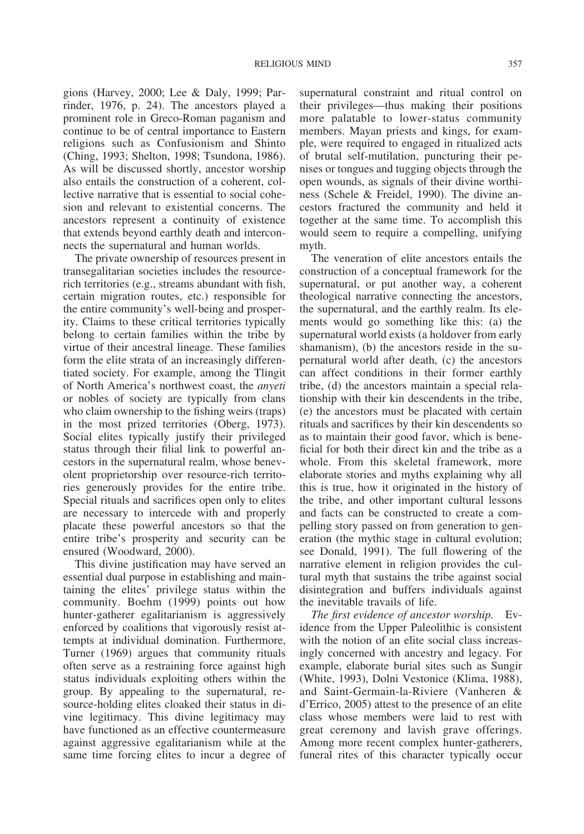gions (Harvey, 2000; Lee & Daly, 1999; Parrinder, 1976, p. 24). The ancestors played a prominent role in Greco-Roman paganism and continue to be of central importance to Eastern religions such as Confusionism and Shinto (Ching, 1993; Shelton, 1998; Tsundona, 1986). As will be discussed shortly, ancestor worship also entails the construction of a coherent, collective narrative that is essential to social cohesion and relevant to existential concerns. The ancestors represent a continuity of existence that extends beyond earthly death and interconnects the supernatural and human worlds.

The private ownership of resources present in transegalitarian societies includes the resourcerich territories (e.g., streams abundant with fish, certain migration routes, etc.) responsible for the entire community's well-being and prosperity. Claims to these critical territories typically belong to certain families within the tribe by virtue of their ancestral lineage. These families form the elite strata of an increasingly differentiated society. For example, among the Tlingit of North America's northwest coast, the *anyeti* or nobles of society are typically from clans who claim ownership to the fishing weirs (traps) in the most prized territories (Oberg, 1973). Social elites typically justify their privileged status through their filial link to powerful ancestors in the supernatural realm, whose benevolent proprietorship over resource-rich territories generously provides for the entire tribe. Special rituals and sacrifices open only to elites are necessary to intercede with and properly placate these powerful ancestors so that the entire tribe's prosperity and security can be ensured (Woodward, 2000).

This divine justification may have served an essential dual purpose in establishing and maintaining the elites' privilege status within the community. Boehm (1999) points out how hunter-gatherer egalitarianism is aggressively enforced by coalitions that vigorously resist attempts at individual domination. Furthermore, Turner (1969) argues that community rituals often serve as a restraining force against high status individuals exploiting others within the group. By appealing to the supernatural, resource-holding elites cloaked their status in divine legitimacy. This divine legitimacy may have functioned as an effective countermeasure against aggressive egalitarianism while at the same time forcing elites to incur a degree of supernatural constraint and ritual control on their privileges—thus making their positions more palatable to lower-status community members. Mayan priests and kings, for example, were required to engaged in ritualized acts of brutal self-mutilation, puncturing their penises or tongues and tugging objects through the open wounds, as signals of their divine worthiness (Schele & Freidel, 1990). The divine ancestors fractured the community and held it together at the same time. To accomplish this would seem to require a compelling, unifying myth.

The veneration of elite ancestors entails the construction of a conceptual framework for the supernatural, or put another way, a coherent theological narrative connecting the ancestors, the supernatural, and the earthly realm. Its elements would go something like this: (a) the supernatural world exists (a holdover from early shamanism), (b) the ancestors reside in the supernatural world after death, (c) the ancestors can affect conditions in their former earthly tribe, (d) the ancestors maintain a special relationship with their kin descendents in the tribe, (e) the ancestors must be placated with certain rituals and sacrifices by their kin descendents so as to maintain their good favor, which is beneficial for both their direct kin and the tribe as a whole. From this skeletal framework, more elaborate stories and myths explaining why all this is true, how it originated in the history of the tribe, and other important cultural lessons and facts can be constructed to create a compelling story passed on from generation to generation (the mythic stage in cultural evolution; see Donald, 1991). The full flowering of the narrative element in religion provides the cultural myth that sustains the tribe against social disintegration and buffers individuals against the inevitable travails of life.

*The first evidence of ancestor worship.* Evidence from the Upper Paleolithic is consistent with the notion of an elite social class increasingly concerned with ancestry and legacy. For example, elaborate burial sites such as Sungir (White, 1993), Dolni Vestonice (Klima, 1988), and Saint-Germain-la-Riviere (Vanheren & d'Errico, 2005) attest to the presence of an elite class whose members were laid to rest with great ceremony and lavish grave offerings. Among more recent complex hunter-gatherers, funeral rites of this character typically occur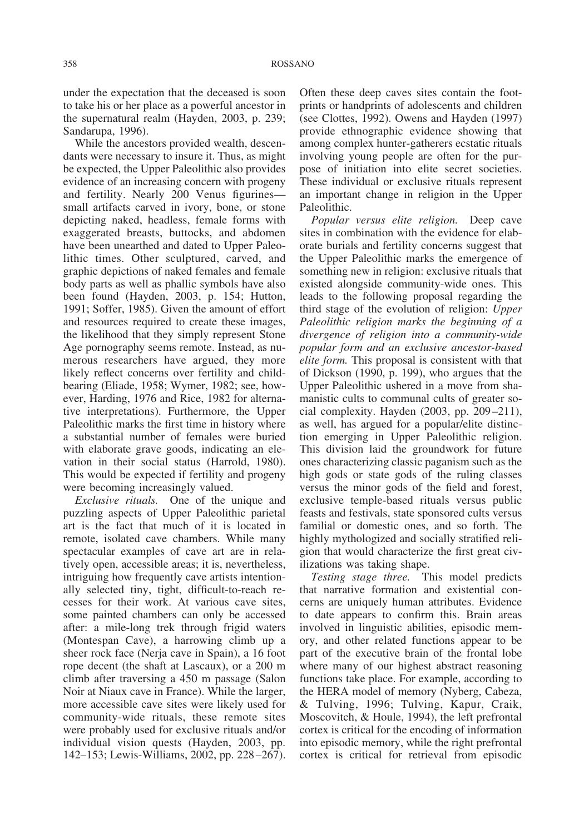under the expectation that the deceased is soon to take his or her place as a powerful ancestor in the supernatural realm (Hayden, 2003, p. 239; Sandarupa, 1996).

While the ancestors provided wealth, descendants were necessary to insure it. Thus, as might be expected, the Upper Paleolithic also provides evidence of an increasing concern with progeny and fertility. Nearly 200 Venus figurines small artifacts carved in ivory, bone, or stone depicting naked, headless, female forms with exaggerated breasts, buttocks, and abdomen have been unearthed and dated to Upper Paleolithic times. Other sculptured, carved, and graphic depictions of naked females and female body parts as well as phallic symbols have also been found (Hayden, 2003, p. 154; Hutton, 1991; Soffer, 1985). Given the amount of effort and resources required to create these images, the likelihood that they simply represent Stone Age pornography seems remote. Instead, as numerous researchers have argued, they more likely reflect concerns over fertility and childbearing (Eliade, 1958; Wymer, 1982; see, however, Harding, 1976 and Rice, 1982 for alternative interpretations). Furthermore, the Upper Paleolithic marks the first time in history where a substantial number of females were buried with elaborate grave goods, indicating an elevation in their social status (Harrold, 1980). This would be expected if fertility and progeny were becoming increasingly valued.

*Exclusive rituals.* One of the unique and puzzling aspects of Upper Paleolithic parietal art is the fact that much of it is located in remote, isolated cave chambers. While many spectacular examples of cave art are in relatively open, accessible areas; it is, nevertheless, intriguing how frequently cave artists intentionally selected tiny, tight, difficult-to-reach recesses for their work. At various cave sites, some painted chambers can only be accessed after: a mile-long trek through frigid waters (Montespan Cave), a harrowing climb up a sheer rock face (Nerja cave in Spain), a 16 foot rope decent (the shaft at Lascaux), or a 200 m climb after traversing a 450 m passage (Salon Noir at Niaux cave in France). While the larger, more accessible cave sites were likely used for community-wide rituals, these remote sites were probably used for exclusive rituals and/or individual vision quests (Hayden, 2003, pp. 142–153; Lewis-Williams, 2002, pp. 228 –267).

Often these deep caves sites contain the footprints or handprints of adolescents and children (see Clottes, 1992). Owens and Hayden (1997) provide ethnographic evidence showing that among complex hunter-gatherers ecstatic rituals involving young people are often for the purpose of initiation into elite secret societies. These individual or exclusive rituals represent an important change in religion in the Upper Paleolithic.

*Popular versus elite religion.* Deep cave sites in combination with the evidence for elaborate burials and fertility concerns suggest that the Upper Paleolithic marks the emergence of something new in religion: exclusive rituals that existed alongside community-wide ones. This leads to the following proposal regarding the third stage of the evolution of religion: *Upper Paleolithic religion marks the beginning of a divergence of religion into a community-wide popular form and an exclusive ancestor-based elite form.* This proposal is consistent with that of Dickson (1990, p. 199), who argues that the Upper Paleolithic ushered in a move from shamanistic cults to communal cults of greater social complexity. Hayden (2003, pp. 209 –211), as well, has argued for a popular/elite distinction emerging in Upper Paleolithic religion. This division laid the groundwork for future ones characterizing classic paganism such as the high gods or state gods of the ruling classes versus the minor gods of the field and forest, exclusive temple-based rituals versus public feasts and festivals, state sponsored cults versus familial or domestic ones, and so forth. The highly mythologized and socially stratified religion that would characterize the first great civilizations was taking shape.

*Testing stage three.* This model predicts that narrative formation and existential concerns are uniquely human attributes. Evidence to date appears to confirm this. Brain areas involved in linguistic abilities, episodic memory, and other related functions appear to be part of the executive brain of the frontal lobe where many of our highest abstract reasoning functions take place. For example, according to the HERA model of memory (Nyberg, Cabeza, & Tulving, 1996; Tulving, Kapur, Craik, Moscovitch, & Houle, 1994), the left prefrontal cortex is critical for the encoding of information into episodic memory, while the right prefrontal cortex is critical for retrieval from episodic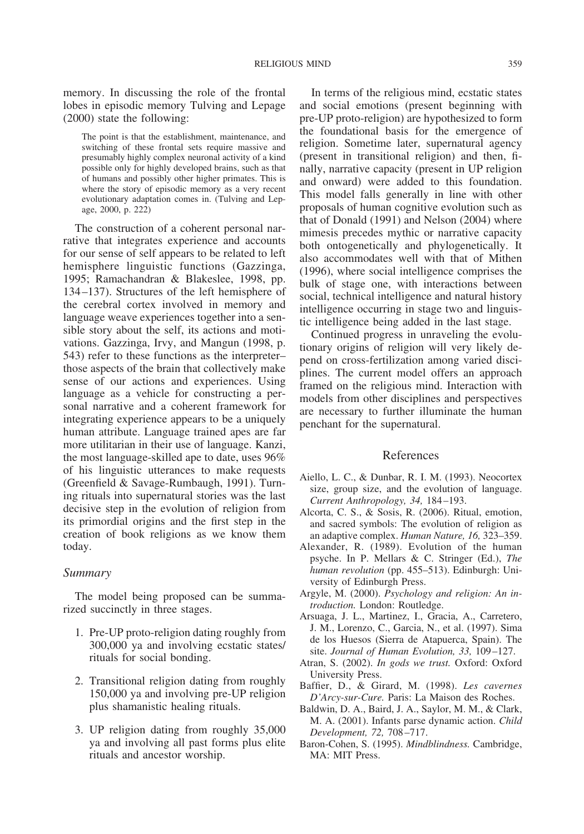memory. In discussing the role of the frontal lobes in episodic memory Tulving and Lepage (2000) state the following:

The point is that the establishment, maintenance, and switching of these frontal sets require massive and presumably highly complex neuronal activity of a kind possible only for highly developed brains, such as that of humans and possibly other higher primates. This is where the story of episodic memory as a very recent evolutionary adaptation comes in. (Tulving and Lepage, 2000, p. 222)

The construction of a coherent personal narrative that integrates experience and accounts for our sense of self appears to be related to left hemisphere linguistic functions (Gazzinga, 1995; Ramachandran & Blakeslee, 1998, pp. 134 –137). Structures of the left hemisphere of the cerebral cortex involved in memory and language weave experiences together into a sensible story about the self, its actions and motivations. Gazzinga, Irvy, and Mangun (1998, p. 543) refer to these functions as the interpreter– those aspects of the brain that collectively make sense of our actions and experiences. Using language as a vehicle for constructing a personal narrative and a coherent framework for integrating experience appears to be a uniquely human attribute. Language trained apes are far more utilitarian in their use of language. Kanzi, the most language-skilled ape to date, uses 96% of his linguistic utterances to make requests (Greenfield & Savage-Rumbaugh, 1991). Turning rituals into supernatural stories was the last decisive step in the evolution of religion from its primordial origins and the first step in the creation of book religions as we know them today.

#### *Summary*

The model being proposed can be summarized succinctly in three stages.

- 1. Pre-UP proto-religion dating roughly from 300,000 ya and involving ecstatic states/ rituals for social bonding.
- 2. Transitional religion dating from roughly 150,000 ya and involving pre-UP religion plus shamanistic healing rituals.
- 3. UP religion dating from roughly 35,000 ya and involving all past forms plus elite rituals and ancestor worship.

In terms of the religious mind, ecstatic states and social emotions (present beginning with pre-UP proto-religion) are hypothesized to form the foundational basis for the emergence of religion. Sometime later, supernatural agency (present in transitional religion) and then, finally, narrative capacity (present in UP religion and onward) were added to this foundation. This model falls generally in line with other proposals of human cognitive evolution such as that of Donald (1991) and Nelson (2004) where mimesis precedes mythic or narrative capacity both ontogenetically and phylogenetically. It also accommodates well with that of Mithen (1996), where social intelligence comprises the bulk of stage one, with interactions between social, technical intelligence and natural history intelligence occurring in stage two and linguistic intelligence being added in the last stage.

Continued progress in unraveling the evolutionary origins of religion will very likely depend on cross-fertilization among varied disciplines. The current model offers an approach framed on the religious mind. Interaction with models from other disciplines and perspectives are necessary to further illuminate the human penchant for the supernatural.

#### References

- Aiello, L. C., & Dunbar, R. I. M. (1993). Neocortex size, group size, and the evolution of language. *Current Anthropology, 34,* 184 –193.
- Alcorta, C. S., & Sosis, R. (2006). Ritual, emotion, and sacred symbols: The evolution of religion as an adaptive complex. *Human Nature, 16,* 323–359.
- Alexander, R. (1989). Evolution of the human psyche. In P. Mellars & C. Stringer (Ed.), *The human revolution* (pp. 455–513). Edinburgh: University of Edinburgh Press.
- Argyle, M. (2000). *Psychology and religion: An introduction.* London: Routledge.
- Arsuaga, J. L., Martinez, I., Gracia, A., Carretero, J. M., Lorenzo, C., Garcia, N., et al. (1997). Sima de los Huesos (Sierra de Atapuerca, Spain). The site. *Journal of Human Evolution, 33,* 109 –127.
- Atran, S. (2002). *In gods we trust.* Oxford: Oxford University Press.
- Baffier, D., & Girard, M. (1998). *Les cavernes D'Arcy-sur-Cure.* Paris: La Maison des Roches.
- Baldwin, D. A., Baird, J. A., Saylor, M. M., & Clark, M. A. (2001). Infants parse dynamic action. *Child Development, 72,* 708 –717.
- Baron-Cohen, S. (1995). *Mindblindness.* Cambridge, MA: MIT Press.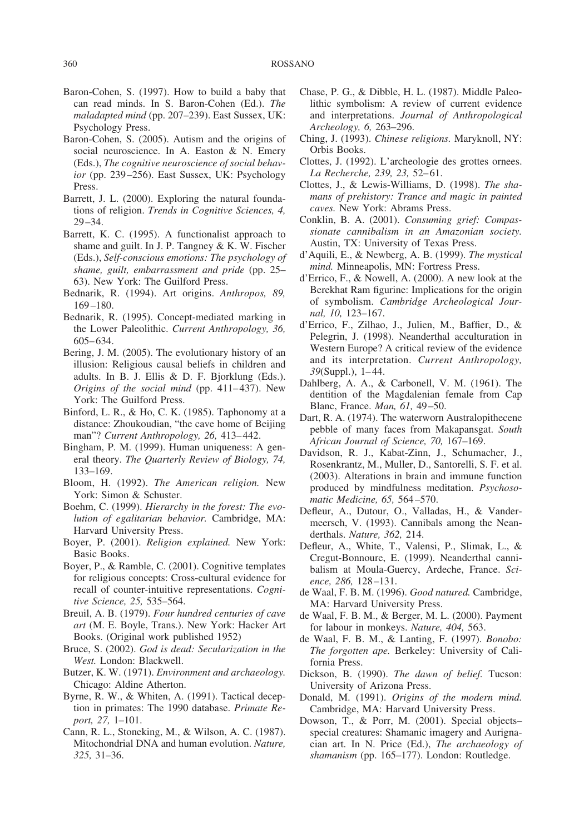- Baron-Cohen, S. (1997). How to build a baby that can read minds. In S. Baron-Cohen (Ed.). *The maladapted mind* (pp. 207–239). East Sussex, UK: Psychology Press.
- Baron-Cohen, S. (2005). Autism and the origins of social neuroscience. In A. Easton & N. Emery (Eds.), *The cognitive neuroscience of social behavior* (pp. 239 –256). East Sussex, UK: Psychology Press.
- Barrett, J. L. (2000). Exploring the natural foundations of religion. *Trends in Cognitive Sciences, 4,* 29 –34.
- Barrett, K. C. (1995). A functionalist approach to shame and guilt. In J. P. Tangney & K. W. Fischer (Eds.), *Self-conscious emotions: The psychology of shame, guilt, embarrassment and pride* (pp. 25– 63). New York: The Guilford Press.
- Bednarik, R. (1994). Art origins. *Anthropos, 89,* 169 –180.
- Bednarik, R. (1995). Concept-mediated marking in the Lower Paleolithic. *Current Anthropology, 36,* 605– 634.
- Bering, J. M. (2005). The evolutionary history of an illusion: Religious causal beliefs in children and adults. In B. J. Ellis & D. F. Bjorklung (Eds.). *Origins of the social mind* (pp. 411–437). New York: The Guilford Press.
- Binford, L. R., & Ho, C. K. (1985). Taphonomy at a distance: Zhoukoudian, "the cave home of Beijing man"? *Current Anthropology, 26,* 413– 442.
- Bingham, P. M. (1999). Human uniqueness: A general theory. *The Quarterly Review of Biology, 74,* 133–169.
- Bloom, H. (1992). *The American religion.* New York: Simon & Schuster.
- Boehm, C. (1999). *Hierarchy in the forest: The evolution of egalitarian behavior.* Cambridge, MA: Harvard University Press.
- Boyer, P. (2001). *Religion explained.* New York: Basic Books.
- Boyer, P., & Ramble, C. (2001). Cognitive templates for religious concepts: Cross-cultural evidence for recall of counter-intuitive representations. *Cognitive Science, 25,* 535–564.
- Breuil, A. B. (1979). *Four hundred centuries of cave art* (M. E. Boyle, Trans.). New York: Hacker Art Books. (Original work published 1952)
- Bruce, S. (2002). *God is dead: Secularization in the West.* London: Blackwell.
- Butzer, K. W. (1971). *Environment and archaeology.* Chicago: Aldine Atherton.
- Byrne, R. W., & Whiten, A. (1991). Tactical deception in primates: The 1990 database. *Primate Report, 27,* 1–101.
- Cann, R. L., Stoneking, M., & Wilson, A. C. (1987). Mitochondrial DNA and human evolution. *Nature, 325,* 31–36.
- Chase, P. G., & Dibble, H. L. (1987). Middle Paleolithic symbolism: A review of current evidence and interpretations. *Journal of Anthropological Archeology, 6,* 263–296.
- Ching, J. (1993). *Chinese religions.* Maryknoll, NY: Orbis Books.
- Clottes, J. (1992). L'archeologie des grottes ornees. *La Recherche, 239, 23,* 52– 61.
- Clottes, J., & Lewis-Williams, D. (1998). *The shamans of prehistory: Trance and magic in painted caves.* New York: Abrams Press.
- Conklin, B. A. (2001). *Consuming grief: Compassionate cannibalism in an Amazonian society.* Austin, TX: University of Texas Press.
- d'Aquili, E., & Newberg, A. B. (1999). *The mystical mind.* Minneapolis, MN: Fortress Press.
- d'Errico, F., & Nowell, A. (2000). A new look at the Berekhat Ram figurine: Implications for the origin of symbolism. *Cambridge Archeological Journal, 10,* 123–167.
- d'Errico, F., Zilhao, J., Julien, M., Baffier, D., & Pelegrin, J. (1998). Neanderthal acculturation in Western Europe? A critical review of the evidence and its interpretation. *Current Anthropology, 39*(Suppl.), 1– 44.
- Dahlberg, A. A., & Carbonell, V. M. (1961). The dentition of the Magdalenian female from Cap Blanc, France. *Man, 61,* 49 –50.
- Dart, R. A. (1974). The waterworn Australopithecene pebble of many faces from Makapansgat. *South African Journal of Science, 70,* 167–169.
- Davidson, R. J., Kabat-Zinn, J., Schumacher, J., Rosenkrantz, M., Muller, D., Santorelli, S. F. et al. (2003). Alterations in brain and immune function produced by mindfulness meditation. *Psychosomatic Medicine, 65,* 564 –570.
- Defleur, A., Dutour, O., Valladas, H., & Vandermeersch, V. (1993). Cannibals among the Neanderthals. *Nature, 362,* 214.
- Defleur, A., White, T., Valensi, P., Slimak, L., & Cregut-Bonnoure, E. (1999). Neanderthal cannibalism at Moula-Guercy, Ardeche, France. *Science, 286,* 128 –131.
- de Waal, F. B. M. (1996). *Good natured.* Cambridge, MA: Harvard University Press.
- de Waal, F. B. M., & Berger, M. L. (2000). Payment for labour in monkeys. *Nature, 404,* 563.
- de Waal, F. B. M., & Lanting, F. (1997). *Bonobo: The forgotten ape.* Berkeley: University of California Press.
- Dickson, B. (1990). *The dawn of belief.* Tucson: University of Arizona Press.
- Donald, M. (1991). *Origins of the modern mind.* Cambridge, MA: Harvard University Press.
- Dowson, T., & Porr, M. (2001). Special objects– special creatures: Shamanic imagery and Aurignacian art. In N. Price (Ed.), *The archaeology of shamanism* (pp. 165–177). London: Routledge.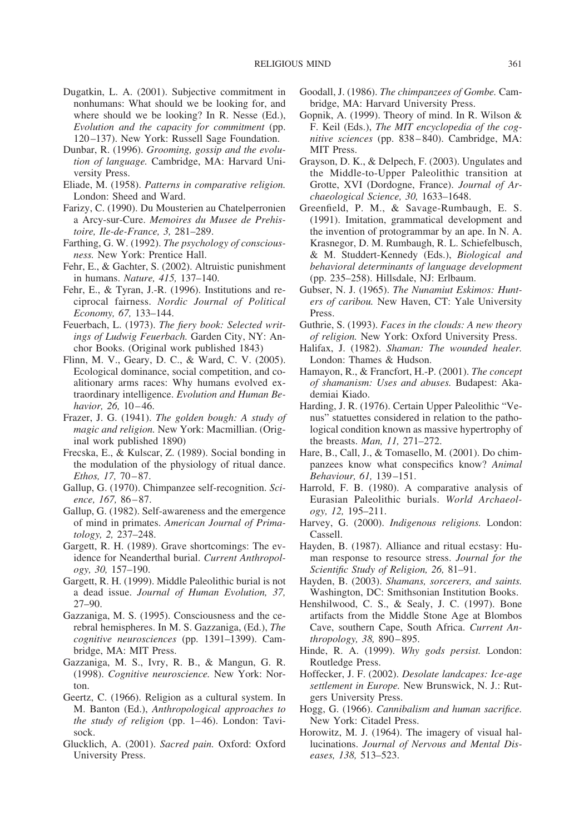- Dugatkin, L. A. (2001). Subjective commitment in nonhumans: What should we be looking for, and where should we be looking? In R. Nesse (Ed.), *Evolution and the capacity for commitment* (pp. 120 –137). New York: Russell Sage Foundation.
- Dunbar, R. (1996). *Grooming, gossip and the evolution of language.* Cambridge, MA: Harvard University Press.
- Eliade, M. (1958). *Patterns in comparative religion.* London: Sheed and Ward.
- Farizy, C. (1990). Du Mousterien au Chatelperronien a Arcy-sur-Cure. *Memoires du Musee de Prehistoire, Ile-de-France, 3,* 281–289.
- Farthing, G. W. (1992). *The psychology of consciousness.* New York: Prentice Hall.
- Fehr, E., & Gachter, S. (2002). Altruistic punishment in humans. *Nature, 415,* 137–140.
- Fehr, E., & Tyran, J.-R. (1996). Institutions and reciprocal fairness. *Nordic Journal of Political Economy, 67,* 133–144.
- Feuerbach, L. (1973). *The fiery book: Selected writings of Ludwig Feuerbach.* Garden City, NY: Anchor Books. (Original work published 1843)
- Flinn, M. V., Geary, D. C., & Ward, C. V. (2005). Ecological dominance, social competition, and coalitionary arms races: Why humans evolved extraordinary intelligence. *Evolution and Human Behavior, 26,* 10 – 46.
- Frazer, J. G. (1941). *The golden bough: A study of magic and religion.* New York: Macmillian. (Original work published 1890)
- Frecska, E., & Kulscar, Z. (1989). Social bonding in the modulation of the physiology of ritual dance. *Ethos, 17,* 70 – 87.
- Gallup, G. (1970). Chimpanzee self-recognition. *Science, 167,* 86 – 87.
- Gallup, G. (1982). Self-awareness and the emergence of mind in primates. *American Journal of Primatology, 2,* 237–248.
- Gargett, R. H. (1989). Grave shortcomings: The evidence for Neanderthal burial. *Current Anthropology, 30,* 157–190.
- Gargett, R. H. (1999). Middle Paleolithic burial is not a dead issue. *Journal of Human Evolution, 37,* 27–90.
- Gazzaniga, M. S. (1995). Consciousness and the cerebral hemispheres. In M. S. Gazzaniga, (Ed.), *The cognitive neurosciences* (pp. 1391–1399). Cambridge, MA: MIT Press.
- Gazzaniga, M. S., Ivry, R. B., & Mangun, G. R. (1998). *Cognitive neuroscience.* New York: Norton.
- Geertz, C. (1966). Religion as a cultural system. In M. Banton (Ed.), *Anthropological approaches to the study of religion* (pp. 1– 46). London: Tavisock.
- Glucklich, A. (2001). *Sacred pain.* Oxford: Oxford University Press.
- Goodall, J. (1986). *The chimpanzees of Gombe.* Cambridge, MA: Harvard University Press.
- Gopnik, A. (1999). Theory of mind. In R. Wilson & F. Keil (Eds.), *The MIT encyclopedia of the cognitive sciences* (pp. 838 – 840). Cambridge, MA: MIT Press.
- Grayson, D. K., & Delpech, F. (2003). Ungulates and the Middle-to-Upper Paleolithic transition at Grotte, XVI (Dordogne, France). *Journal of Archaeological Science, 30,* 1633–1648.
- Greenfield, P. M., & Savage-Rumbaugh, E. S. (1991). Imitation, grammatical development and the invention of protogrammar by an ape. In N. A. Krasnegor, D. M. Rumbaugh, R. L. Schiefelbusch, & M. Studdert-Kennedy (Eds.), *Biological and behavioral determinants of language development* (pp. 235–258). Hillsdale, NJ: Erlbaum.
- Gubser, N. J. (1965). *The Nunamiut Eskimos: Hunters of caribou.* New Haven, CT: Yale University Press.
- Guthrie, S. (1993). *Faces in the clouds: A new theory of religion.* New York: Oxford University Press.
- Halifax, J. (1982). *Shaman: The wounded healer.* London: Thames & Hudson.
- Hamayon, R., & Francfort, H.-P. (2001). *The concept of shamanism: Uses and abuses.* Budapest: Akademiai Kiado.
- Harding, J. R. (1976). Certain Upper Paleolithic "Venus" statuettes considered in relation to the pathological condition known as massive hypertrophy of the breasts. *Man, 11,* 271–272.
- Hare, B., Call, J., & Tomasello, M. (2001). Do chimpanzees know what conspecifics know? *Animal Behaviour, 61,* 139 –151.
- Harrold, F. B. (1980). A comparative analysis of Eurasian Paleolithic burials. *World Archaeology, 12,* 195–211.
- Harvey, G. (2000). *Indigenous religions.* London: Cassell.
- Hayden, B. (1987). Alliance and ritual ecstasy: Human response to resource stress. *Journal for the Scientific Study of Religion, 26,* 81–91.
- Hayden, B. (2003). *Shamans, sorcerers, and saints.* Washington, DC: Smithsonian Institution Books.
- Henshilwood, C. S., & Sealy, J. C. (1997). Bone artifacts from the Middle Stone Age at Blombos Cave, southern Cape, South Africa. *Current Anthropology, 38,* 890 – 895.
- Hinde, R. A. (1999). *Why gods persist.* London: Routledge Press.
- Hoffecker, J. F. (2002). *Desolate landcapes: Ice-age settlement in Europe.* New Brunswick, N. J.: Rutgers University Press.
- Hogg, G. (1966). *Cannibalism and human sacrifice.* New York: Citadel Press.
- Horowitz, M. J. (1964). The imagery of visual hallucinations. *Journal of Nervous and Mental Diseases, 138,* 513–523.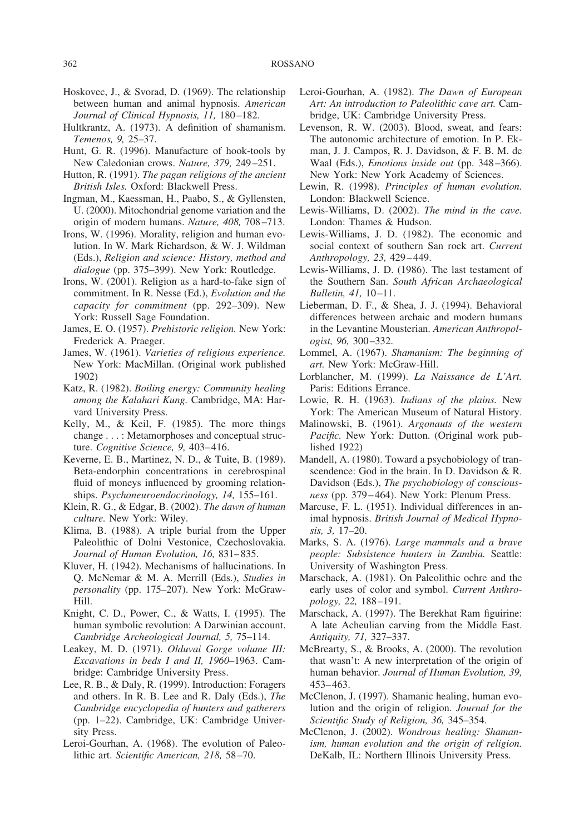- Hoskovec, J., & Svorad, D. (1969). The relationship between human and animal hypnosis. *American Journal of Clinical Hypnosis, 11,* 180 –182.
- Hultkrantz, A. (1973). A definition of shamanism. *Temenos, 9,* 25–37.
- Hunt, G. R. (1996). Manufacture of hook-tools by New Caledonian crows. *Nature, 379,* 249 –251.
- Hutton, R. (1991). *The pagan religions of the ancient British Isles.* Oxford: Blackwell Press.
- Ingman, M., Kaessman, H., Paabo, S., & Gyllensten, U. (2000). Mitochondrial genome variation and the origin of modern humans. *Nature, 408,* 708 –713.
- Irons, W. (1996). Morality, religion and human evolution. In W. Mark Richardson, & W. J. Wildman (Eds.), *Religion and science: History, method and dialogue* (pp. 375–399). New York: Routledge.
- Irons, W. (2001). Religion as a hard-to-fake sign of commitment. In R. Nesse (Ed.), *Evolution and the capacity for commitment* (pp. 292–309). New York: Russell Sage Foundation.
- James, E. O. (1957). *Prehistoric religion.* New York: Frederick A. Praeger.
- James, W. (1961). *Varieties of religious experience.* New York: MacMillan. (Original work published 1902)
- Katz, R. (1982). *Boiling energy: Community healing among the Kalahari Kung.* Cambridge, MA: Harvard University Press.
- Kelly, M., & Keil, F. (1985). The more things change...: Metamorphoses and conceptual structure. *Cognitive Science, 9,* 403– 416.
- Keverne, E. B., Martinez, N. D., & Tuite, B. (1989). Beta-endorphin concentrations in cerebrospinal fluid of moneys influenced by grooming relationships. *Psychoneuroendocrinology, 14,* 155–161.
- Klein, R. G., & Edgar, B. (2002). *The dawn of human culture.* New York: Wiley.
- Klima, B. (1988). A triple burial from the Upper Paleolithic of Dolni Vestonice, Czechoslovakia. *Journal of Human Evolution, 16,* 831– 835.
- Kluver, H. (1942). Mechanisms of hallucinations. In Q. McNemar & M. A. Merrill (Eds.), *Studies in personality* (pp. 175–207). New York: McGraw-Hill.
- Knight, C. D., Power, C., & Watts, I. (1995). The human symbolic revolution: A Darwinian account. *Cambridge Archeological Journal, 5,* 75–114.
- Leakey, M. D. (1971). *Olduvai Gorge volume III: Excavations in beds I and II, 1960*–1963. Cambridge: Cambridge University Press.
- Lee, R. B., & Daly, R. (1999). Introduction: Foragers and others. In R. B. Lee and R. Daly (Eds.), *The Cambridge encyclopedia of hunters and gatherers* (pp. 1–22). Cambridge, UK: Cambridge University Press.
- Leroi-Gourhan, A. (1968). The evolution of Paleolithic art. *Scientific American, 218,* 58 –70.
- Leroi-Gourhan, A. (1982). *The Dawn of European Art: An introduction to Paleolithic cave art.* Cambridge, UK: Cambridge University Press.
- Levenson, R. W. (2003). Blood, sweat, and fears: The autonomic architecture of emotion. In P. Ekman, J. J. Campos, R. J. Davidson, & F. B. M. de Waal (Eds.), *Emotions inside out* (pp. 348 –366). New York: New York Academy of Sciences.
- Lewin, R. (1998). *Principles of human evolution.* London: Blackwell Science.
- Lewis-Williams, D. (2002). *The mind in the cave.* London: Thames & Hudson.
- Lewis-Williams, J. D. (1982). The economic and social context of southern San rock art. *Current Anthropology, 23,* 429 – 449.
- Lewis-Williams, J. D. (1986). The last testament of the Southern San. *South African Archaeological Bulletin, 41, 10-11.*
- Lieberman, D. F., & Shea, J. J. (1994). Behavioral differences between archaic and modern humans in the Levantine Mousterian. *American Anthropologist, 96,* 300 –332.
- Lommel, A. (1967). *Shamanism: The beginning of art.* New York: McGraw-Hill.
- Lorblancher, M. (1999). *La Naissance de L'Art.* Paris: Editions Errance.
- Lowie, R. H. (1963). *Indians of the plains.* New York: The American Museum of Natural History.
- Malinowski, B. (1961). *Argonauts of the western Pacific.* New York: Dutton. (Original work published 1922)
- Mandell, A. (1980). Toward a psychobiology of transcendence: God in the brain. In D. Davidson & R. Davidson (Eds.), *The psychobiology of consciousness* (pp. 379 – 464). New York: Plenum Press.
- Marcuse, F. L. (1951). Individual differences in animal hypnosis. *British Journal of Medical Hypnosis, 3,* 17–20.
- Marks, S. A. (1976). *Large mammals and a brave people: Subsistence hunters in Zambia.* Seattle: University of Washington Press.
- Marschack, A. (1981). On Paleolithic ochre and the early uses of color and symbol. *Current Anthropology, 22,* 188 –191.
- Marschack, A. (1997). The Berekhat Ram figuirine: A late Acheulian carving from the Middle East. *Antiquity, 71,* 327–337.
- McBrearty, S., & Brooks, A. (2000). The revolution that wasn't: A new interpretation of the origin of human behavior. *Journal of Human Evolution, 39,* 453– 463.
- McClenon, J. (1997). Shamanic healing, human evolution and the origin of religion. *Journal for the Scientific Study of Religion, 36,* 345–354.
- McClenon, J. (2002). *Wondrous healing: Shamanism, human evolution and the origin of religion.* DeKalb, IL: Northern Illinois University Press.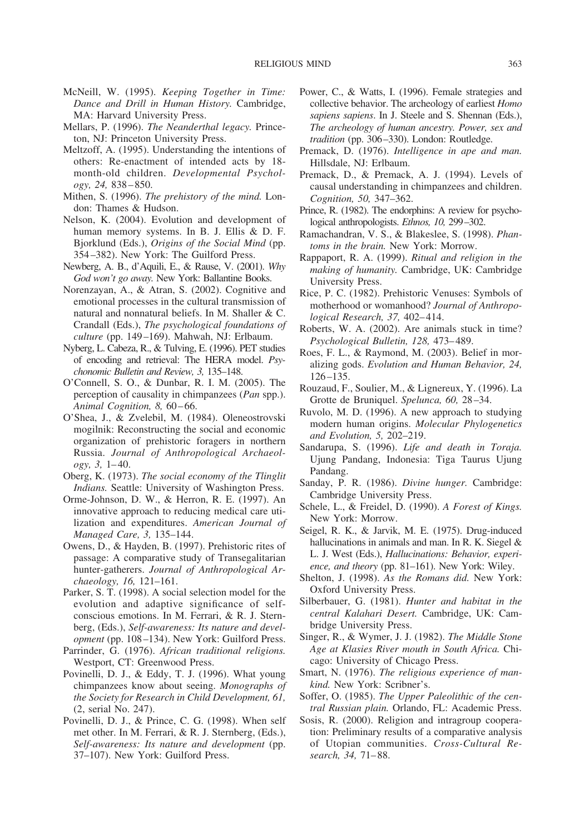- McNeill, W. (1995). *Keeping Together in Time: Dance and Drill in Human History.* Cambridge, MA: Harvard University Press.
- Mellars, P. (1996). *The Neanderthal legacy.* Princeton, NJ: Princeton University Press.
- Meltzoff, A. (1995). Understanding the intentions of others: Re-enactment of intended acts by 18 month-old children. *Developmental Psychology, 24,* 838 – 850.
- Mithen, S. (1996). *The prehistory of the mind.* London: Thames & Hudson.
- Nelson, K. (2004). Evolution and development of human memory systems. In B. J. Ellis & D. F. Bjorklund (Eds.), *Origins of the Social Mind* (pp. 354 –382). New York: The Guilford Press.
- Newberg, A. B., d'Aquili, E., & Rause, V. (2001). *Why God won't go away.* New York: Ballantine Books.
- Norenzayan, A., & Atran, S. (2002). Cognitive and emotional processes in the cultural transmission of natural and nonnatural beliefs. In M. Shaller & C. Crandall (Eds.), *The psychological foundations of culture* (pp. 149 –169). Mahwah, NJ: Erlbaum.
- Nyberg, L. Cabeza, R., & Tulving, E. (1996). PET studies of encoding and retrieval: The HERA model. *Psychonomic Bulletin and Review, 3,* 135–148.
- O'Connell, S. O., & Dunbar, R. I. M. (2005). The perception of causality in chimpanzees (*Pan* spp.). *Animal Cognition, 8,* 60 – 66.
- O'Shea, J., & Zvelebil, M. (1984). Oleneostrovski mogilnik: Reconstructing the social and economic organization of prehistoric foragers in northern Russia. *Journal of Anthropological Archaeology, 3,* 1– 40.
- Oberg, K. (1973). *The social economy of the Tlinglit Indians.* Seattle: University of Washington Press.
- Orme-Johnson, D. W., & Herron, R. E. (1997). An innovative approach to reducing medical care utilization and expenditures. *American Journal of Managed Care, 3,* 135–144.
- Owens, D., & Hayden, B. (1997). Prehistoric rites of passage: A comparative study of Transegalitarian hunter-gatherers. *Journal of Anthropological Archaeology, 16,* 121–161.
- Parker, S. T. (1998). A social selection model for the evolution and adaptive significance of selfconscious emotions. In M. Ferrari, & R. J. Sternberg, (Eds.), *Self-awareness: Its nature and development* (pp. 108 –134). New York: Guilford Press.
- Parrinder, G. (1976). *African traditional religions.* Westport, CT: Greenwood Press.
- Povinelli, D. J., & Eddy, T. J. (1996). What young chimpanzees know about seeing. *Monographs of the Society for Research in Child Development, 61,* (2, serial No. 247).
- Povinelli, D. J., & Prince, C. G. (1998). When self met other. In M. Ferrari, & R. J. Sternberg, (Eds.), *Self-awareness: Its nature and development* (pp. 37–107). New York: Guilford Press.
- Power, C., & Watts, I. (1996). Female strategies and collective behavior. The archeology of earliest *Homo sapiens sapiens*. In J. Steele and S. Shennan (Eds.), *The archeology of human ancestry. Power, sex and tradition* (pp. 306 –330). London: Routledge.
- Premack, D. (1976). *Intelligence in ape and man.* Hillsdale, NJ: Erlbaum.
- Premack, D., & Premack, A. J. (1994). Levels of causal understanding in chimpanzees and children. *Cognition, 50,* 347–362.
- Prince, R. (1982). The endorphins: A review for psychological anthropologists. *Ethnos, 10,* 299–302.
- Ramachandran, V. S., & Blakeslee, S. (1998). *Phantoms in the brain.* New York: Morrow.
- Rappaport, R. A. (1999). *Ritual and religion in the making of humanity.* Cambridge, UK: Cambridge University Press.
- Rice, P. C. (1982). Prehistoric Venuses: Symbols of motherhood or womanhood? *Journal of Anthropological Research, 37,* 402– 414.
- Roberts, W. A. (2002). Are animals stuck in time? *Psychological Bulletin, 128,* 473– 489.
- Roes, F. L., & Raymond, M. (2003). Belief in moralizing gods. *Evolution and Human Behavior, 24,* 126 –135.
- Rouzaud, F., Soulier, M., & Lignereux, Y. (1996). La Grotte de Bruniquel. *Spelunca, 60,* 28 –34.
- Ruvolo, M. D. (1996). A new approach to studying modern human origins. *Molecular Phylogenetics and Evolution, 5,* 202–219.
- Sandarupa, S. (1996). *Life and death in Toraja.* Ujung Pandang, Indonesia: Tiga Taurus Ujung Pandang.
- Sanday, P. R. (1986). *Divine hunger.* Cambridge: Cambridge University Press.
- Schele, L., & Freidel, D. (1990). *A Forest of Kings.* New York: Morrow.
- Seigel, R. K., & Jarvik, M. E. (1975). Drug-induced hallucinations in animals and man. In R. K. Siegel & L. J. West (Eds.), *Hallucinations: Behavior, experience, and theory* (pp. 81–161). New York: Wiley.
- Shelton, J. (1998). *As the Romans did.* New York: Oxford University Press.
- Silberbauer, G. (1981). *Hunter and habitat in the central Kalahari Desert.* Cambridge, UK: Cambridge University Press.
- Singer, R., & Wymer, J. J. (1982). *The Middle Stone Age at Klasies River mouth in South Africa.* Chicago: University of Chicago Press.
- Smart, N. (1976). *The religious experience of mankind.* New York: Scribner's.
- Soffer, O. (1985). *The Upper Paleolithic of the central Russian plain.* Orlando, FL: Academic Press.
- Sosis, R. (2000). Religion and intragroup cooperation: Preliminary results of a comparative analysis of Utopian communities. *Cross-Cultural Research, 34,* 71– 88.